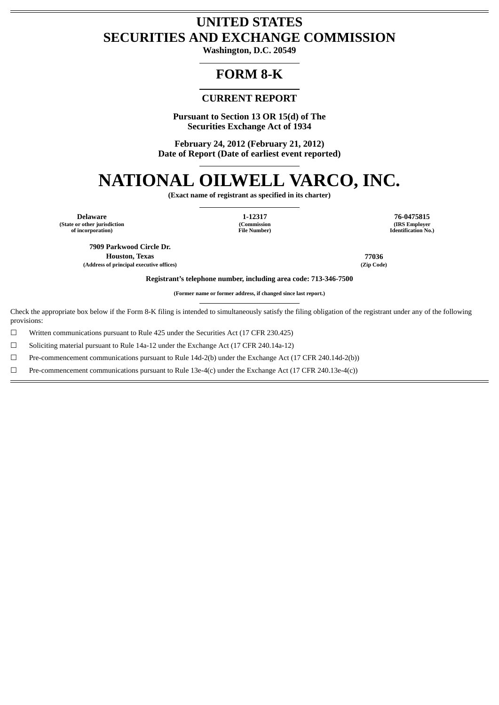# **UNITED STATES SECURITIES AND EXCHANGE COMMISSION**

**Washington, D.C. 20549**

# **FORM 8-K**

# **CURRENT REPORT**

**Pursuant to Section 13 OR 15(d) of The Securities Exchange Act of 1934**

**February 24, 2012 (February 21, 2012) Date of Report (Date of earliest event reported)**

# **NATIONAL OILWELL VARCO, INC.**

**(Exact name of registrant as specified in its charter)**

**Delaware 1-12317 76-0475815 (State or other jurisdiction of incorporation)**

**(Commission File Number)**

**(IRS Employer Identification No.)**

**7909 Parkwood Circle Dr. Houston, Texas 77036 (Address of principal executive offices) (Zip Code)**

**Registrant's telephone number, including area code: 713-346-7500**

**(Former name or former address, if changed since last report.)**

Check the appropriate box below if the Form 8-K filing is intended to simultaneously satisfy the filing obligation of the registrant under any of the following provisions:

☐ Written communications pursuant to Rule 425 under the Securities Act (17 CFR 230.425)

 $\Box$  Soliciting material pursuant to Rule 14a-12 under the Exchange Act (17 CFR 240.14a-12)

☐ Pre-commencement communications pursuant to Rule 14d-2(b) under the Exchange Act (17 CFR 240.14d-2(b))

☐ Pre-commencement communications pursuant to Rule 13e-4(c) under the Exchange Act (17 CFR 240.13e-4(c))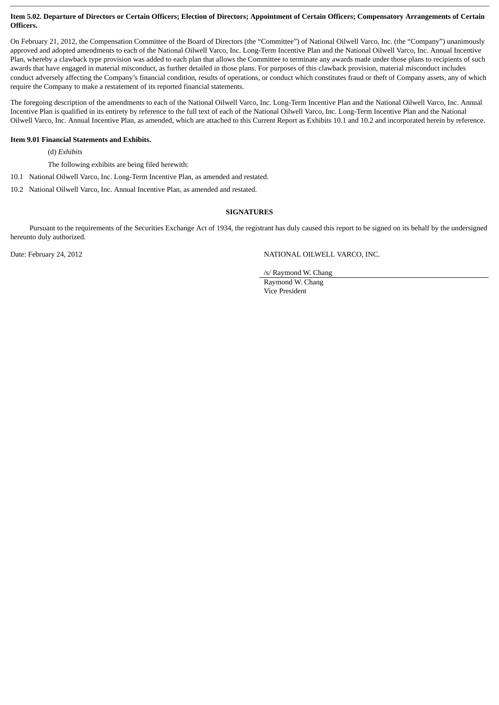# **Item 5.02. Departure of Directors or Certain Officers; Election of Directors; Appointment of Certain Officers; Compensatory Arrangements of Certain Officers.**

On February 21, 2012, the Compensation Committee of the Board of Directors (the "Committee") of National Oilwell Varco, Inc. (the "Company") unanimously approved and adopted amendments to each of the National Oilwell Varco, Inc. Long-Term Incentive Plan and the National Oilwell Varco, Inc. Annual Incentive Plan, whereby a clawback type provision was added to each plan that allows the Committee to terminate any awards made under those plans to recipients of such awards that have engaged in material misconduct, as further detailed in those plans. For purposes of this clawback provision, material misconduct includes conduct adversely affecting the Company's financial condition, results of operations, or conduct which constitutes fraud or theft of Company assets, any of which require the Company to make a restatement of its reported financial statements.

The foregoing description of the amendments to each of the National Oilwell Varco, Inc. Long-Term Incentive Plan and the National Oilwell Varco, Inc. Annual Incentive Plan is qualified in its entirety by reference to the full text of each of the National Oilwell Varco, Inc. Long-Term Incentive Plan and the National Oilwell Varco, Inc. Annual Incentive Plan, as amended, which are attached to this Current Report as Exhibits 10.1 and 10.2 and incorporated herein by reference.

# **Item 9.01 Financial Statements and Exhibits.**

(d) *Exhibits*

The following exhibits are being filed herewith:

- 10.1 National Oilwell Varco, Inc. Long-Term Incentive Plan, as amended and restated.
- 10.2 National Oilwell Varco, Inc. Annual Incentive Plan, as amended and restated.

# **SIGNATURES**

Pursuant to the requirements of the Securities Exchange Act of 1934, the registrant has duly caused this report to be signed on its behalf by the undersigned hereunto duly authorized.

Date: February 24, 2012 **NATIONAL OILWELL VARCO, INC.** 

/s/ Raymond W. Chang

Raymond W. Chang Vice President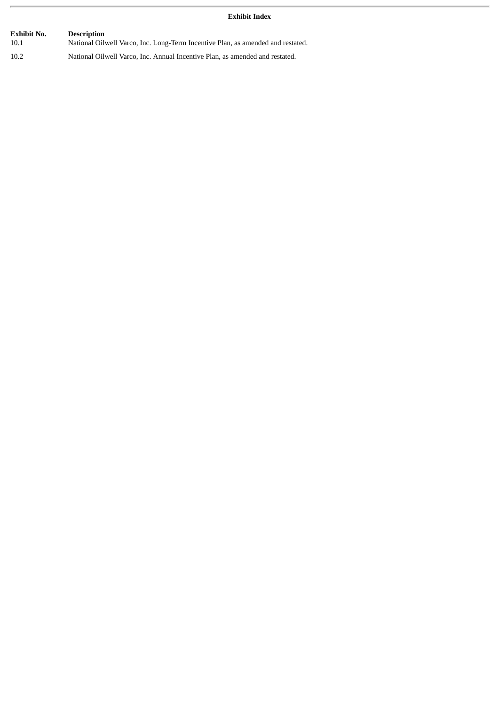# **Exhibit Index**

| Exhibit No. | <b>Description</b>                                                              |
|-------------|---------------------------------------------------------------------------------|
| 10.1        | National Oilwell Varco, Inc. Long-Term Incentive Plan, as amended and restated. |
| 10.2        | National Oilwell Varco, Inc. Annual Incentive Plan, as amended and restated.    |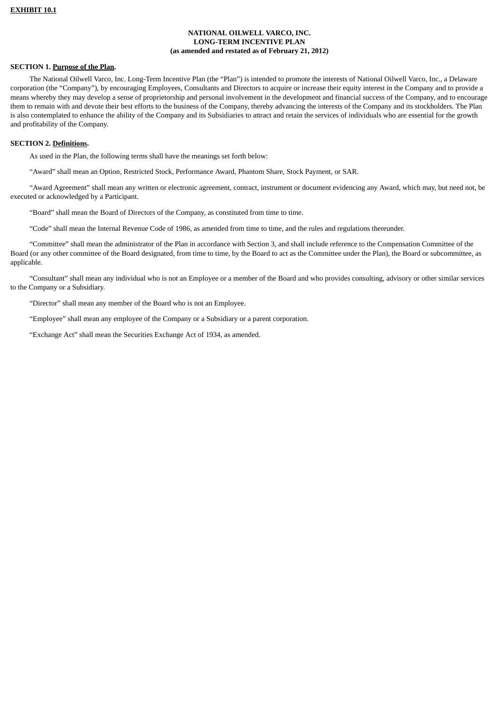# **NATIONAL OILWELL VARCO, INC. LONG-TERM INCENTIVE PLAN (as amended and restated as of February 21, 2012)**

# **SECTION 1. Purpose of the Plan.**

The National Oilwell Varco, Inc. Long-Term Incentive Plan (the "Plan") is intended to promote the interests of National Oilwell Varco, Inc., a Delaware corporation (the "Company"), by encouraging Employees, Consultants and Directors to acquire or increase their equity interest in the Company and to provide a means whereby they may develop a sense of proprietorship and personal involvement in the development and financial success of the Company, and to encourage them to remain with and devote their best efforts to the business of the Company, thereby advancing the interests of the Company and its stockholders. The Plan is also contemplated to enhance the ability of the Company and its Subsidiaries to attract and retain the services of individuals who are essential for the growth and profitability of the Company.

#### **SECTION 2. Definitions.**

As used in the Plan, the following terms shall have the meanings set forth below:

"Award" shall mean an Option, Restricted Stock, Performance Award, Phantom Share, Stock Payment, or SAR.

"Award Agreement" shall mean any written or electronic agreement, contract, instrument or document evidencing any Award, which may, but need not, be executed or acknowledged by a Participant.

"Board" shall mean the Board of Directors of the Company, as constituted from time to time.

"Code" shall mean the Internal Revenue Code of 1986, as amended from time to time, and the rules and regulations thereunder.

"Committee" shall mean the administrator of the Plan in accordance with Section 3, and shall include reference to the Compensation Committee of the Board (or any other committee of the Board designated, from time to time, by the Board to act as the Committee under the Plan), the Board or subcommittee, as applicable.

"Consultant" shall mean any individual who is not an Employee or a member of the Board and who provides consulting, advisory or other similar services to the Company or a Subsidiary.

"Director" shall mean any member of the Board who is not an Employee.

"Employee" shall mean any employee of the Company or a Subsidiary or a parent corporation.

"Exchange Act" shall mean the Securities Exchange Act of 1934, as amended.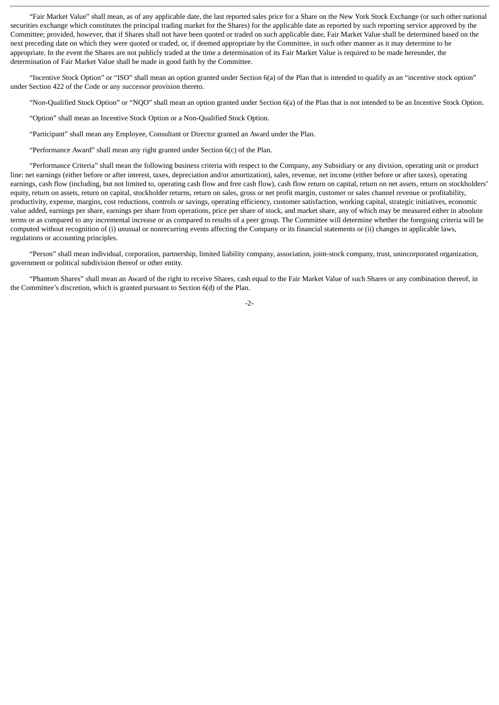"Fair Market Value" shall mean, as of any applicable date, the last reported sales price for a Share on the New York Stock Exchange (or such other national securities exchange which constitutes the principal trading market for the Shares) for the applicable date as reported by such reporting service approved by the Committee; provided, however, that if Shares shall not have been quoted or traded on such applicable date, Fair Market Value shall be determined based on the next preceding date on which they were quoted or traded, or, if deemed appropriate by the Committee, in such other manner as it may determine to be appropriate. In the event the Shares are not publicly traded at the time a determination of its Fair Market Value is required to be made hereunder, the determination of Fair Market Value shall be made in good faith by the Committee.

"Incentive Stock Option" or "ISO" shall mean an option granted under Section 6(a) of the Plan that is intended to qualify as an "incentive stock option" under Section 422 of the Code or any successor provision thereto.

"Non-Qualified Stock Option" or "NQO" shall mean an option granted under Section 6(a) of the Plan that is not intended to be an Incentive Stock Option.

"Option" shall mean an Incentive Stock Option or a Non-Qualified Stock Option.

"Participant" shall mean any Employee, Consultant or Director granted an Award under the Plan.

"Performance Award" shall mean any right granted under Section 6(c) of the Plan.

"Performance Criteria" shall mean the following business criteria with respect to the Company, any Subsidiary or any division, operating unit or product line: net earnings (either before or after interest, taxes, depreciation and/or amortization), sales, revenue, net income (either before or after taxes), operating earnings, cash flow (including, but not limited to, operating cash flow and free cash flow), cash flow return on capital, return on net assets, return on stockholders' equity, return on assets, return on capital, stockholder returns, return on sales, gross or net profit margin, customer or sales channel revenue or profitability, productivity, expense, margins, cost reductions, controls or savings, operating efficiency, customer satisfaction, working capital, strategic initiatives, economic value added, earnings per share, earnings per share from operations, price per share of stock, and market share, any of which may be measured either in absolute terms or as compared to any incremental increase or as compared to results of a peer group. The Committee will determine whether the foregoing criteria will be computed without recognition of (i) unusual or nonrecurring events affecting the Company or its financial statements or (ii) changes in applicable laws, regulations or accounting principles.

"Person" shall mean individual, corporation, partnership, limited liability company, association, joint-stock company, trust, unincorporated organization, government or political subdivision thereof or other entity.

"Phantom Shares" shall mean an Award of the right to receive Shares, cash equal to the Fair Market Value of such Shares or any combination thereof, in the Committee's discretion, which is granted pursuant to Section 6(d) of the Plan.

-2-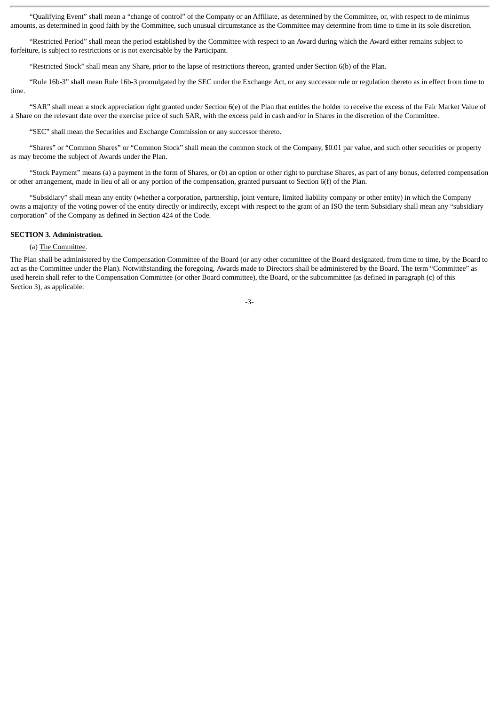"Qualifying Event" shall mean a "change of control" of the Company or an Affiliate, as determined by the Committee, or, with respect to de minimus amounts, as determined in good faith by the Committee, such unusual circumstance as the Committee may determine from time to time in its sole discretion.

"Restricted Period" shall mean the period established by the Committee with respect to an Award during which the Award either remains subject to forfeiture, is subject to restrictions or is not exercisable by the Participant.

"Restricted Stock" shall mean any Share, prior to the lapse of restrictions thereon, granted under Section 6(b) of the Plan.

"Rule 16b-3" shall mean Rule 16b-3 promulgated by the SEC under the Exchange Act, or any successor rule or regulation thereto as in effect from time to time.

"SAR" shall mean a stock appreciation right granted under Section 6(e) of the Plan that entitles the holder to receive the excess of the Fair Market Value of a Share on the relevant date over the exercise price of such SAR, with the excess paid in cash and/or in Shares in the discretion of the Committee.

"SEC" shall mean the Securities and Exchange Commission or any successor thereto.

"Shares" or "Common Shares" or "Common Stock" shall mean the common stock of the Company, \$0.01 par value, and such other securities or property as may become the subject of Awards under the Plan.

"Stock Payment" means (a) a payment in the form of Shares, or (b) an option or other right to purchase Shares, as part of any bonus, deferred compensation or other arrangement, made in lieu of all or any portion of the compensation, granted pursuant to Section 6(f) of the Plan.

"Subsidiary" shall mean any entity (whether a corporation, partnership, joint venture, limited liability company or other entity) in which the Company owns a majority of the voting power of the entity directly or indirectly, except with respect to the grant of an ISO the term Subsidiary shall mean any "subsidiary corporation" of the Company as defined in Section 424 of the Code.

# **SECTION 3. Administration.**

#### (a) The Committee.

The Plan shall be administered by the Compensation Committee of the Board (or any other committee of the Board designated, from time to time, by the Board to act as the Committee under the Plan). Notwithstanding the foregoing, Awards made to Directors shall be administered by the Board. The term "Committee" as used herein shall refer to the Compensation Committee (or other Board committee), the Board, or the subcommittee (as defined in paragraph (c) of this Section 3), as applicable.

-3-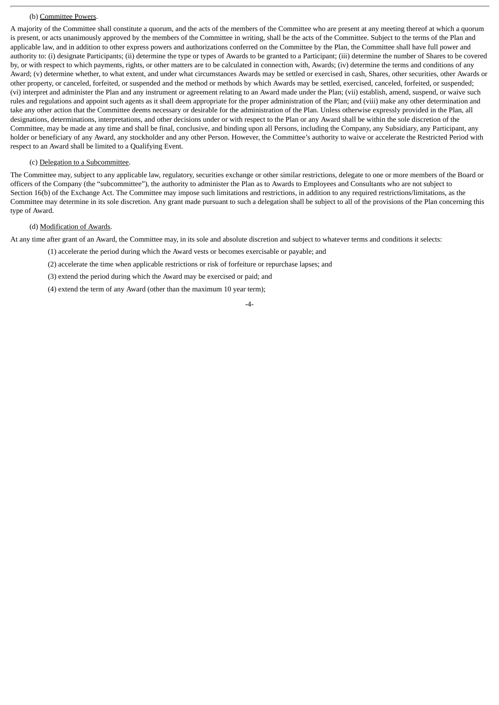#### (b) Committee Powers.

A majority of the Committee shall constitute a quorum, and the acts of the members of the Committee who are present at any meeting thereof at which a quorum is present, or acts unanimously approved by the members of the Committee in writing, shall be the acts of the Committee. Subject to the terms of the Plan and applicable law, and in addition to other express powers and authorizations conferred on the Committee by the Plan, the Committee shall have full power and authority to: (i) designate Participants; (ii) determine the type or types of Awards to be granted to a Participant; (iii) determine the number of Shares to be covered by, or with respect to which payments, rights, or other matters are to be calculated in connection with, Awards; (iv) determine the terms and conditions of any Award; (v) determine whether, to what extent, and under what circumstances Awards may be settled or exercised in cash, Shares, other securities, other Awards or other property, or canceled, forfeited, or suspended and the method or methods by which Awards may be settled, exercised, canceled, forfeited, or suspended; (vi) interpret and administer the Plan and any instrument or agreement relating to an Award made under the Plan; (vii) establish, amend, suspend, or waive such rules and regulations and appoint such agents as it shall deem appropriate for the proper administration of the Plan; and (viii) make any other determination and take any other action that the Committee deems necessary or desirable for the administration of the Plan. Unless otherwise expressly provided in the Plan, all designations, determinations, interpretations, and other decisions under or with respect to the Plan or any Award shall be within the sole discretion of the Committee, may be made at any time and shall be final, conclusive, and binding upon all Persons, including the Company, any Subsidiary, any Participant, any holder or beneficiary of any Award, any stockholder and any other Person. However, the Committee's authority to waive or accelerate the Restricted Period with respect to an Award shall be limited to a Qualifying Event.

#### (c) Delegation to a Subcommittee.

The Committee may, subject to any applicable law, regulatory, securities exchange or other similar restrictions, delegate to one or more members of the Board or officers of the Company (the "subcommittee"), the authority to administer the Plan as to Awards to Employees and Consultants who are not subject to Section 16(b) of the Exchange Act. The Committee may impose such limitations and restrictions, in addition to any required restrictions/limitations, as the Committee may determine in its sole discretion. Any grant made pursuant to such a delegation shall be subject to all of the provisions of the Plan concerning this type of Award.

#### (d) Modification of Awards.

At any time after grant of an Award, the Committee may, in its sole and absolute discretion and subject to whatever terms and conditions it selects:

- (1) accelerate the period during which the Award vests or becomes exercisable or payable; and
- (2) accelerate the time when applicable restrictions or risk of forfeiture or repurchase lapses; and
- (3) extend the period during which the Award may be exercised or paid; and
- (4) extend the term of any Award (other than the maximum 10 year term);

#### -4-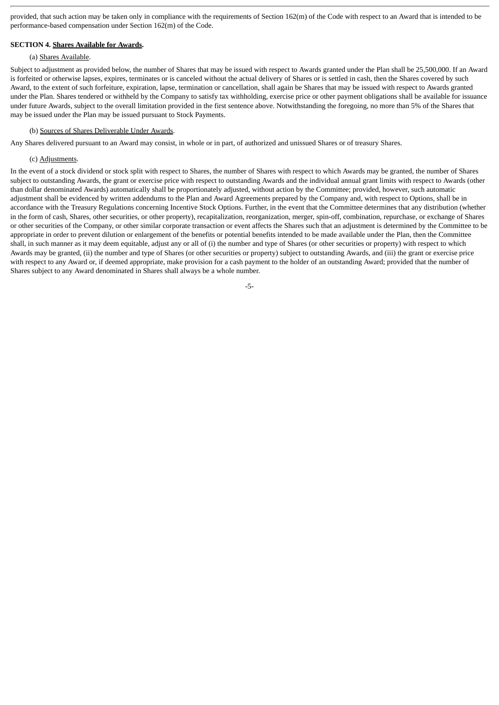provided, that such action may be taken only in compliance with the requirements of Section 162(m) of the Code with respect to an Award that is intended to be performance-based compensation under Section 162(m) of the Code.

#### **SECTION 4. Shares Available for Awards.**

#### (a) Shares Available.

Subject to adjustment as provided below, the number of Shares that may be issued with respect to Awards granted under the Plan shall be 25,500,000. If an Award is forfeited or otherwise lapses, expires, terminates or is canceled without the actual delivery of Shares or is settled in cash, then the Shares covered by such Award, to the extent of such forfeiture, expiration, lapse, termination or cancellation, shall again be Shares that may be issued with respect to Awards granted under the Plan. Shares tendered or withheld by the Company to satisfy tax withholding, exercise price or other payment obligations shall be available for issuance under future Awards, subject to the overall limitation provided in the first sentence above. Notwithstanding the foregoing, no more than 5% of the Shares that may be issued under the Plan may be issued pursuant to Stock Payments.

#### (b) Sources of Shares Deliverable Under Awards.

Any Shares delivered pursuant to an Award may consist, in whole or in part, of authorized and unissued Shares or of treasury Shares.

# (c) Adjustments.

In the event of a stock dividend or stock split with respect to Shares, the number of Shares with respect to which Awards may be granted, the number of Shares subject to outstanding Awards, the grant or exercise price with respect to outstanding Awards and the individual annual grant limits with respect to Awards (other than dollar denominated Awards) automatically shall be proportionately adjusted, without action by the Committee; provided, however, such automatic adjustment shall be evidenced by written addendums to the Plan and Award Agreements prepared by the Company and, with respect to Options, shall be in accordance with the Treasury Regulations concerning Incentive Stock Options. Further, in the event that the Committee determines that any distribution (whether in the form of cash, Shares, other securities, or other property), recapitalization, reorganization, merger, spin-off, combination, repurchase, or exchange of Shares or other securities of the Company, or other similar corporate transaction or event affects the Shares such that an adjustment is determined by the Committee to be appropriate in order to prevent dilution or enlargement of the benefits or potential benefits intended to be made available under the Plan, then the Committee shall, in such manner as it may deem equitable, adjust any or all of (i) the number and type of Shares (or other securities or property) with respect to which Awards may be granted, (ii) the number and type of Shares (or other securities or property) subject to outstanding Awards, and (iii) the grant or exercise price with respect to any Award or, if deemed appropriate, make provision for a cash payment to the holder of an outstanding Award; provided that the number of Shares subject to any Award denominated in Shares shall always be a whole number.

-5-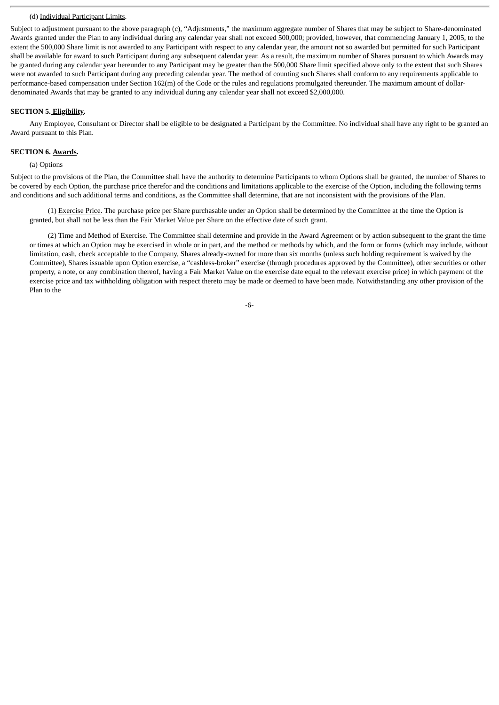#### (d) Individual Participant Limits.

Subject to adjustment pursuant to the above paragraph (c), "Adjustments," the maximum aggregate number of Shares that may be subject to Share-denominated Awards granted under the Plan to any individual during any calendar year shall not exceed 500,000; provided, however, that commencing January 1, 2005, to the extent the 500,000 Share limit is not awarded to any Participant with respect to any calendar year, the amount not so awarded but permitted for such Participant shall be available for award to such Participant during any subsequent calendar year. As a result, the maximum number of Shares pursuant to which Awards may be granted during any calendar year hereunder to any Participant may be greater than the 500,000 Share limit specified above only to the extent that such Shares were not awarded to such Participant during any preceding calendar year. The method of counting such Shares shall conform to any requirements applicable to performance-based compensation under Section 162(m) of the Code or the rules and regulations promulgated thereunder. The maximum amount of dollardenominated Awards that may be granted to any individual during any calendar year shall not exceed \$2,000,000.

#### **SECTION 5. Eligibility.**

Any Employee, Consultant or Director shall be eligible to be designated a Participant by the Committee. No individual shall have any right to be granted an Award pursuant to this Plan.

#### **SECTION 6. Awards.**

#### (a) Options

Subject to the provisions of the Plan, the Committee shall have the authority to determine Participants to whom Options shall be granted, the number of Shares to be covered by each Option, the purchase price therefor and the conditions and limitations applicable to the exercise of the Option, including the following terms and conditions and such additional terms and conditions, as the Committee shall determine, that are not inconsistent with the provisions of the Plan.

(1) Exercise Price. The purchase price per Share purchasable under an Option shall be determined by the Committee at the time the Option is granted, but shall not be less than the Fair Market Value per Share on the effective date of such grant.

(2) Time and Method of Exercise. The Committee shall determine and provide in the Award Agreement or by action subsequent to the grant the time or times at which an Option may be exercised in whole or in part, and the method or methods by which, and the form or forms (which may include, without limitation, cash, check acceptable to the Company, Shares already-owned for more than six months (unless such holding requirement is waived by the Committee), Shares issuable upon Option exercise, a "cashless-broker" exercise (through procedures approved by the Committee), other securities or other property, a note, or any combination thereof, having a Fair Market Value on the exercise date equal to the relevant exercise price) in which payment of the exercise price and tax withholding obligation with respect thereto may be made or deemed to have been made. Notwithstanding any other provision of the Plan to the

-6-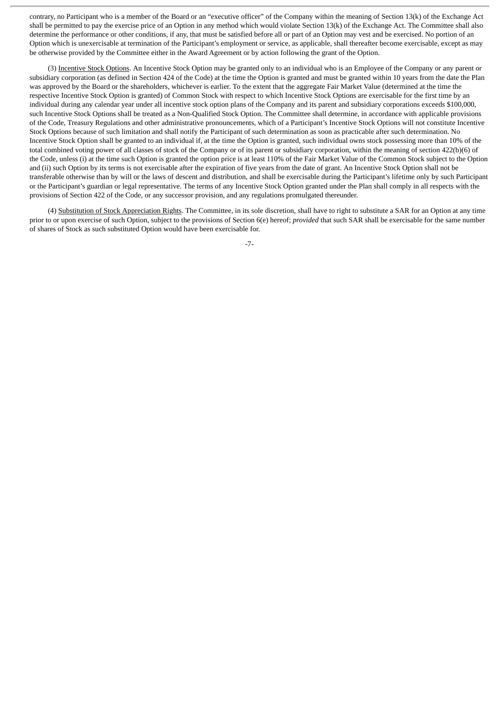contrary, no Participant who is a member of the Board or an "executive officer" of the Company within the meaning of Section 13(k) of the Exchange Act shall be permitted to pay the exercise price of an Option in any method which would violate Section 13(k) of the Exchange Act. The Committee shall also determine the performance or other conditions, if any, that must be satisfied before all or part of an Option may vest and be exercised. No portion of an Option which is unexercisable at termination of the Participant's employment or service, as applicable, shall thereafter become exercisable, except as may be otherwise provided by the Committee either in the Award Agreement or by action following the grant of the Option.

(3) Incentive Stock Options. An Incentive Stock Option may be granted only to an individual who is an Employee of the Company or any parent or subsidiary corporation (as defined in Section 424 of the Code) at the time the Option is granted and must be granted within 10 years from the date the Plan was approved by the Board or the shareholders, whichever is earlier. To the extent that the aggregate Fair Market Value (determined at the time the respective Incentive Stock Option is granted) of Common Stock with respect to which Incentive Stock Options are exercisable for the first time by an individual during any calendar year under all incentive stock option plans of the Company and its parent and subsidiary corporations exceeds \$100,000, such Incentive Stock Options shall be treated as a Non-Qualified Stock Option. The Committee shall determine, in accordance with applicable provisions of the Code, Treasury Regulations and other administrative pronouncements, which of a Participant's Incentive Stock Options will not constitute Incentive Stock Options because of such limitation and shall notify the Participant of such determination as soon as practicable after such determination. No Incentive Stock Option shall be granted to an individual if, at the time the Option is granted, such individual owns stock possessing more than 10% of the total combined voting power of all classes of stock of the Company or of its parent or subsidiary corporation, within the meaning of section 422(b)(6) of the Code, unless (i) at the time such Option is granted the option price is at least 110% of the Fair Market Value of the Common Stock subject to the Option and (ii) such Option by its terms is not exercisable after the expiration of five years from the date of grant. An Incentive Stock Option shall not be transferable otherwise than by will or the laws of descent and distribution, and shall be exercisable during the Participant's lifetime only by such Participant or the Participant's guardian or legal representative. The terms of any Incentive Stock Option granted under the Plan shall comply in all respects with the provisions of Section 422 of the Code, or any successor provision, and any regulations promulgated thereunder.

(4) Substitution of Stock Appreciation Rights. The Committee, in its sole discretion, shall have to right to substitute a SAR for an Option at any time prior to or upon exercise of such Option, subject to the provisions of Section 6(e) hereof; *provided* that such SAR shall be exercisable for the same number of shares of Stock as such substituted Option would have been exercisable for.

-7-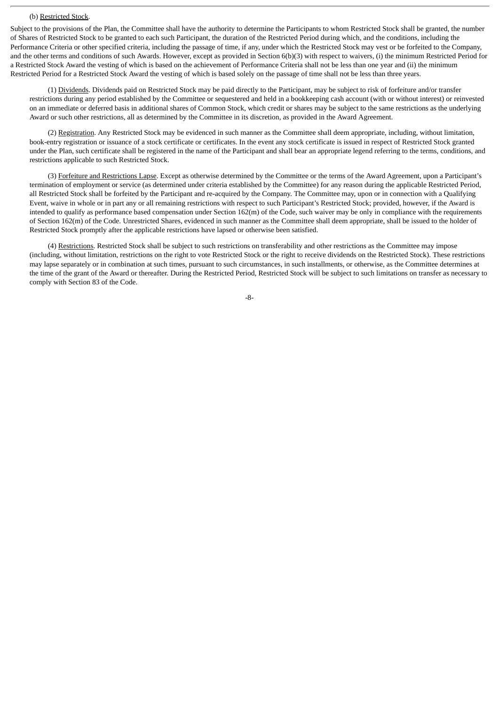#### (b) Restricted Stock.

Subject to the provisions of the Plan, the Committee shall have the authority to determine the Participants to whom Restricted Stock shall be granted, the number of Shares of Restricted Stock to be granted to each such Participant, the duration of the Restricted Period during which, and the conditions, including the Performance Criteria or other specified criteria, including the passage of time, if any, under which the Restricted Stock may vest or be forfeited to the Company, and the other terms and conditions of such Awards. However, except as provided in Section 6(b)(3) with respect to waivers, (i) the minimum Restricted Period for a Restricted Stock Award the vesting of which is based on the achievement of Performance Criteria shall not be less than one year and (ii) the minimum Restricted Period for a Restricted Stock Award the vesting of which is based solely on the passage of time shall not be less than three years.

(1) Dividends. Dividends paid on Restricted Stock may be paid directly to the Participant, may be subject to risk of forfeiture and/or transfer restrictions during any period established by the Committee or sequestered and held in a bookkeeping cash account (with or without interest) or reinvested on an immediate or deferred basis in additional shares of Common Stock, which credit or shares may be subject to the same restrictions as the underlying Award or such other restrictions, all as determined by the Committee in its discretion, as provided in the Award Agreement.

(2) Registration. Any Restricted Stock may be evidenced in such manner as the Committee shall deem appropriate, including, without limitation, book-entry registration or issuance of a stock certificate or certificates. In the event any stock certificate is issued in respect of Restricted Stock granted under the Plan, such certificate shall be registered in the name of the Participant and shall bear an appropriate legend referring to the terms, conditions, and restrictions applicable to such Restricted Stock.

(3) Forfeiture and Restrictions Lapse. Except as otherwise determined by the Committee or the terms of the Award Agreement, upon a Participant's termination of employment or service (as determined under criteria established by the Committee) for any reason during the applicable Restricted Period, all Restricted Stock shall be forfeited by the Participant and re-acquired by the Company. The Committee may, upon or in connection with a Qualifying Event, waive in whole or in part any or all remaining restrictions with respect to such Participant's Restricted Stock; provided, however, if the Award is intended to qualify as performance based compensation under Section 162(m) of the Code, such waiver may be only in compliance with the requirements of Section 162(m) of the Code. Unrestricted Shares, evidenced in such manner as the Committee shall deem appropriate, shall be issued to the holder of Restricted Stock promptly after the applicable restrictions have lapsed or otherwise been satisfied.

(4) Restrictions. Restricted Stock shall be subject to such restrictions on transferability and other restrictions as the Committee may impose (including, without limitation, restrictions on the right to vote Restricted Stock or the right to receive dividends on the Restricted Stock). These restrictions may lapse separately or in combination at such times, pursuant to such circumstances, in such installments, or otherwise, as the Committee determines at the time of the grant of the Award or thereafter. During the Restricted Period, Restricted Stock will be subject to such limitations on transfer as necessary to comply with Section 83 of the Code.

-8-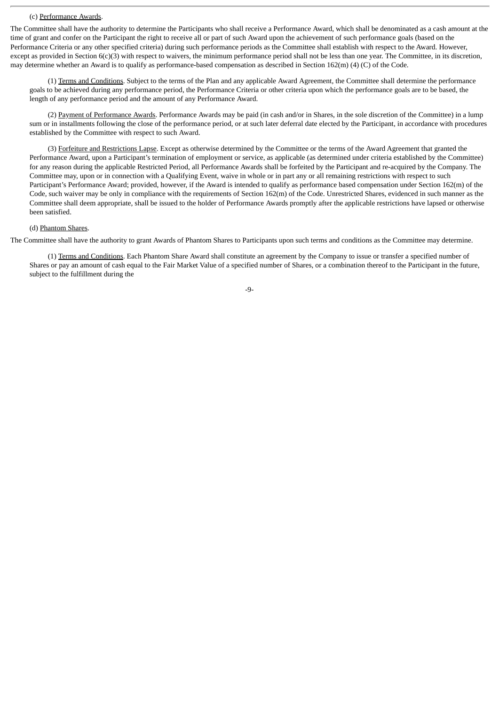#### (c) Performance Awards.

The Committee shall have the authority to determine the Participants who shall receive a Performance Award, which shall be denominated as a cash amount at the time of grant and confer on the Participant the right to receive all or part of such Award upon the achievement of such performance goals (based on the Performance Criteria or any other specified criteria) during such performance periods as the Committee shall establish with respect to the Award. However, except as provided in Section  $6(c)(3)$  with respect to waivers, the minimum performance period shall not be less than one year. The Committee, in its discretion, may determine whether an Award is to qualify as performance-based compensation as described in Section 162(m) (4) (C) of the Code.

(1) Terms and Conditions. Subject to the terms of the Plan and any applicable Award Agreement, the Committee shall determine the performance goals to be achieved during any performance period, the Performance Criteria or other criteria upon which the performance goals are to be based, the length of any performance period and the amount of any Performance Award.

(2) Payment of Performance Awards. Performance Awards may be paid (in cash and/or in Shares, in the sole discretion of the Committee) in a lump sum or in installments following the close of the performance period, or at such later deferral date elected by the Participant, in accordance with procedures established by the Committee with respect to such Award.

(3) Forfeiture and Restrictions Lapse. Except as otherwise determined by the Committee or the terms of the Award Agreement that granted the Performance Award, upon a Participant's termination of employment or service, as applicable (as determined under criteria established by the Committee) for any reason during the applicable Restricted Period, all Performance Awards shall be forfeited by the Participant and re-acquired by the Company. The Committee may, upon or in connection with a Qualifying Event, waive in whole or in part any or all remaining restrictions with respect to such Participant's Performance Award; provided, however, if the Award is intended to qualify as performance based compensation under Section 162(m) of the Code, such waiver may be only in compliance with the requirements of Section 162(m) of the Code. Unrestricted Shares, evidenced in such manner as the Committee shall deem appropriate, shall be issued to the holder of Performance Awards promptly after the applicable restrictions have lapsed or otherwise been satisfied.

#### (d) Phantom Shares.

The Committee shall have the authority to grant Awards of Phantom Shares to Participants upon such terms and conditions as the Committee may determine.

(1) Terms and Conditions. Each Phantom Share Award shall constitute an agreement by the Company to issue or transfer a specified number of Shares or pay an amount of cash equal to the Fair Market Value of a specified number of Shares, or a combination thereof to the Participant in the future, subject to the fulfillment during the

-9-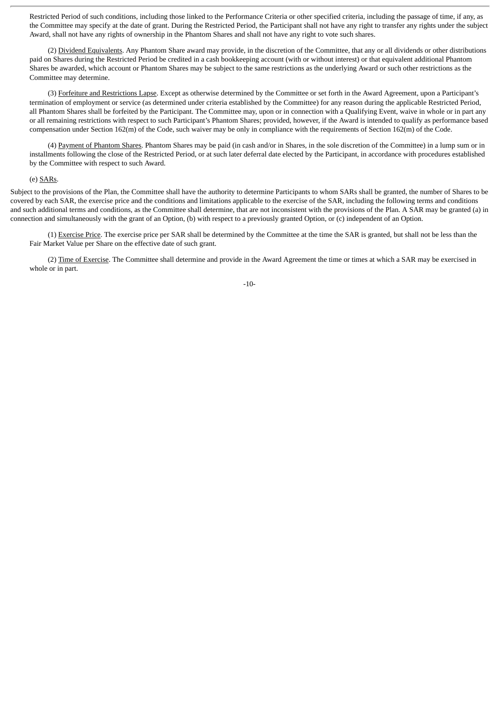Restricted Period of such conditions, including those linked to the Performance Criteria or other specified criteria, including the passage of time, if any, as the Committee may specify at the date of grant. During the Restricted Period, the Participant shall not have any right to transfer any rights under the subject Award, shall not have any rights of ownership in the Phantom Shares and shall not have any right to vote such shares.

(2) Dividend Equivalents. Any Phantom Share award may provide, in the discretion of the Committee, that any or all dividends or other distributions paid on Shares during the Restricted Period be credited in a cash bookkeeping account (with or without interest) or that equivalent additional Phantom Shares be awarded, which account or Phantom Shares may be subject to the same restrictions as the underlying Award or such other restrictions as the Committee may determine.

(3) Forfeiture and Restrictions Lapse. Except as otherwise determined by the Committee or set forth in the Award Agreement, upon a Participant's termination of employment or service (as determined under criteria established by the Committee) for any reason during the applicable Restricted Period, all Phantom Shares shall be forfeited by the Participant. The Committee may, upon or in connection with a Qualifying Event, waive in whole or in part any or all remaining restrictions with respect to such Participant's Phantom Shares; provided, however, if the Award is intended to qualify as performance based compensation under Section 162(m) of the Code, such waiver may be only in compliance with the requirements of Section 162(m) of the Code.

(4) Payment of Phantom Shares. Phantom Shares may be paid (in cash and/or in Shares, in the sole discretion of the Committee) in a lump sum or in installments following the close of the Restricted Period, or at such later deferral date elected by the Participant, in accordance with procedures established by the Committee with respect to such Award.

#### (e) SARs.

Subject to the provisions of the Plan, the Committee shall have the authority to determine Participants to whom SARs shall be granted, the number of Shares to be covered by each SAR, the exercise price and the conditions and limitations applicable to the exercise of the SAR, including the following terms and conditions and such additional terms and conditions, as the Committee shall determine, that are not inconsistent with the provisions of the Plan. A SAR may be granted (a) in connection and simultaneously with the grant of an Option, (b) with respect to a previously granted Option, or (c) independent of an Option.

(1) Exercise Price. The exercise price per SAR shall be determined by the Committee at the time the SAR is granted, but shall not be less than the Fair Market Value per Share on the effective date of such grant.

(2) Time of Exercise. The Committee shall determine and provide in the Award Agreement the time or times at which a SAR may be exercised in whole or in part.

-10-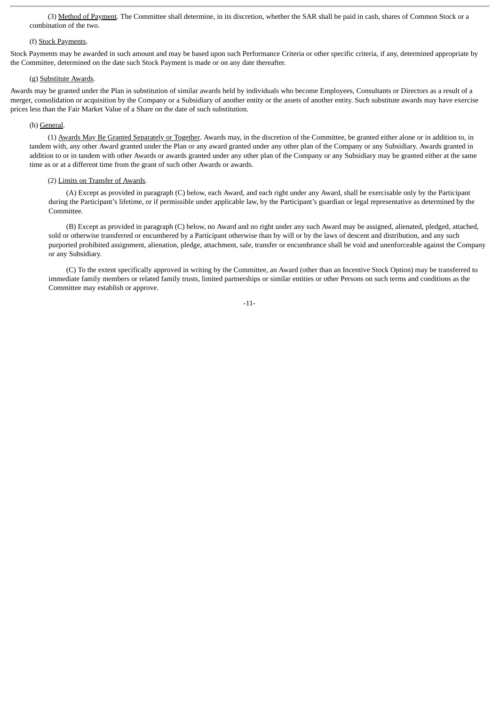(3) Method of Payment. The Committee shall determine, in its discretion, whether the SAR shall be paid in cash, shares of Common Stock or a combination of the two.

### (f) Stock Payments.

Stock Payments may be awarded in such amount and may be based upon such Performance Criteria or other specific criteria, if any, determined appropriate by the Committee, determined on the date such Stock Payment is made or on any date thereafter.

#### (g) Substitute Awards.

Awards may be granted under the Plan in substitution of similar awards held by individuals who become Employees, Consultants or Directors as a result of a merger, consolidation or acquisition by the Company or a Subsidiary of another entity or the assets of another entity. Such substitute awards may have exercise prices less than the Fair Market Value of a Share on the date of such substitution.

# (h) General.

(1) Awards May Be Granted Separately or Together. Awards may, in the discretion of the Committee, be granted either alone or in addition to, in tandem with, any other Award granted under the Plan or any award granted under any other plan of the Company or any Subsidiary. Awards granted in addition to or in tandem with other Awards or awards granted under any other plan of the Company or any Subsidiary may be granted either at the same time as or at a different time from the grant of such other Awards or awards.

#### (2) Limits on Transfer of Awards.

(A) Except as provided in paragraph (C) below, each Award, and each right under any Award, shall be exercisable only by the Participant during the Participant's lifetime, or if permissible under applicable law, by the Participant's guardian or legal representative as determined by the Committee.

(B) Except as provided in paragraph (C) below, no Award and no right under any such Award may be assigned, alienated, pledged, attached, sold or otherwise transferred or encumbered by a Participant otherwise than by will or by the laws of descent and distribution, and any such purported prohibited assignment, alienation, pledge, attachment, sale, transfer or encumbrance shall be void and unenforceable against the Company or any Subsidiary.

(C) To the extent specifically approved in writing by the Committee, an Award (other than an Incentive Stock Option) may be transferred to immediate family members or related family trusts, limited partnerships or similar entities or other Persons on such terms and conditions as the Committee may establish or approve.

-11-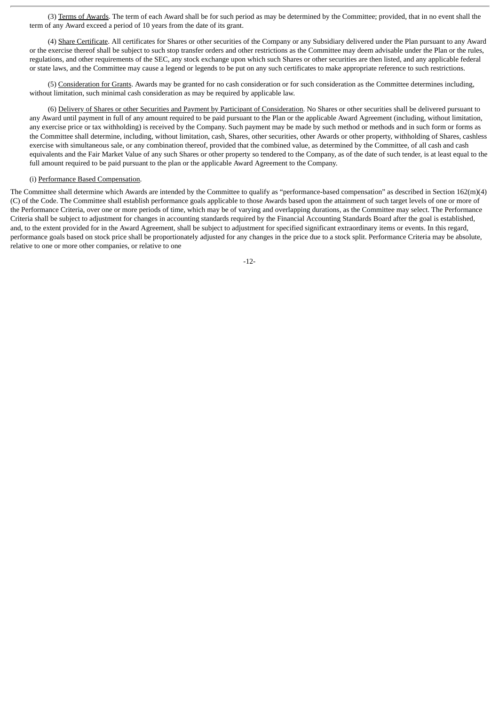(3) Terms of Awards. The term of each Award shall be for such period as may be determined by the Committee; provided, that in no event shall the term of any Award exceed a period of 10 years from the date of its grant.

(4) Share Certificate. All certificates for Shares or other securities of the Company or any Subsidiary delivered under the Plan pursuant to any Award or the exercise thereof shall be subject to such stop transfer orders and other restrictions as the Committee may deem advisable under the Plan or the rules, regulations, and other requirements of the SEC, any stock exchange upon which such Shares or other securities are then listed, and any applicable federal or state laws, and the Committee may cause a legend or legends to be put on any such certificates to make appropriate reference to such restrictions.

(5) Consideration for Grants. Awards may be granted for no cash consideration or for such consideration as the Committee determines including, without limitation, such minimal cash consideration as may be required by applicable law.

(6) Delivery of Shares or other Securities and Payment by Participant of Consideration. No Shares or other securities shall be delivered pursuant to any Award until payment in full of any amount required to be paid pursuant to the Plan or the applicable Award Agreement (including, without limitation, any exercise price or tax withholding) is received by the Company. Such payment may be made by such method or methods and in such form or forms as the Committee shall determine, including, without limitation, cash, Shares, other securities, other Awards or other property, withholding of Shares, cashless exercise with simultaneous sale, or any combination thereof, provided that the combined value, as determined by the Committee, of all cash and cash equivalents and the Fair Market Value of any such Shares or other property so tendered to the Company, as of the date of such tender, is at least equal to the full amount required to be paid pursuant to the plan or the applicable Award Agreement to the Company.

# (i) Performance Based Compensation.

The Committee shall determine which Awards are intended by the Committee to qualify as "performance-based compensation" as described in Section 162(m)(4) (C) of the Code. The Committee shall establish performance goals applicable to those Awards based upon the attainment of such target levels of one or more of the Performance Criteria, over one or more periods of time, which may be of varying and overlapping durations, as the Committee may select. The Performance Criteria shall be subject to adjustment for changes in accounting standards required by the Financial Accounting Standards Board after the goal is established, and, to the extent provided for in the Award Agreement, shall be subject to adjustment for specified significant extraordinary items or events. In this regard, performance goals based on stock price shall be proportionately adjusted for any changes in the price due to a stock split. Performance Criteria may be absolute, relative to one or more other companies, or relative to one

-12-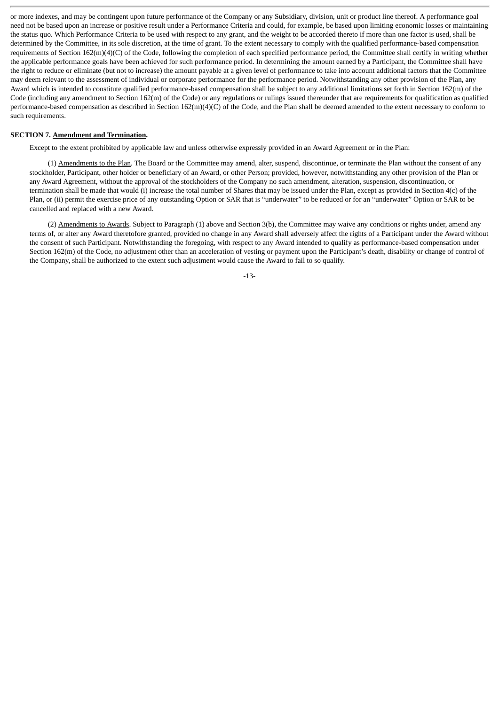or more indexes, and may be contingent upon future performance of the Company or any Subsidiary, division, unit or product line thereof. A performance goal need not be based upon an increase or positive result under a Performance Criteria and could, for example, be based upon limiting economic losses or maintaining the status quo. Which Performance Criteria to be used with respect to any grant, and the weight to be accorded thereto if more than one factor is used, shall be determined by the Committee, in its sole discretion, at the time of grant. To the extent necessary to comply with the qualified performance-based compensation requirements of Section 162(m)(4)(C) of the Code, following the completion of each specified performance period, the Committee shall certify in writing whether the applicable performance goals have been achieved for such performance period. In determining the amount earned by a Participant, the Committee shall have the right to reduce or eliminate (but not to increase) the amount payable at a given level of performance to take into account additional factors that the Committee may deem relevant to the assessment of individual or corporate performance for the performance period. Notwithstanding any other provision of the Plan, any Award which is intended to constitute qualified performance-based compensation shall be subject to any additional limitations set forth in Section 162(m) of the Code (including any amendment to Section 162(m) of the Code) or any regulations or rulings issued thereunder that are requirements for qualification as qualified performance-based compensation as described in Section 162(m)(4)(C) of the Code, and the Plan shall be deemed amended to the extent necessary to conform to such requirements.

#### **SECTION 7. Amendment and Termination.**

Except to the extent prohibited by applicable law and unless otherwise expressly provided in an Award Agreement or in the Plan:

(1) Amendments to the Plan. The Board or the Committee may amend, alter, suspend, discontinue, or terminate the Plan without the consent of any stockholder, Participant, other holder or beneficiary of an Award, or other Person; provided, however, notwithstanding any other provision of the Plan or any Award Agreement, without the approval of the stockholders of the Company no such amendment, alteration, suspension, discontinuation, or termination shall be made that would (i) increase the total number of Shares that may be issued under the Plan, except as provided in Section 4(c) of the Plan, or (ii) permit the exercise price of any outstanding Option or SAR that is "underwater" to be reduced or for an "underwater" Option or SAR to be cancelled and replaced with a new Award.

(2) Amendments to Awards. Subject to Paragraph (1) above and Section 3(b), the Committee may waive any conditions or rights under, amend any terms of, or alter any Award theretofore granted, provided no change in any Award shall adversely affect the rights of a Participant under the Award without the consent of such Participant. Notwithstanding the foregoing, with respect to any Award intended to qualify as performance-based compensation under Section 162(m) of the Code, no adjustment other than an acceleration of vesting or payment upon the Participant's death, disability or change of control of the Company, shall be authorized to the extent such adjustment would cause the Award to fail to so qualify.

-13-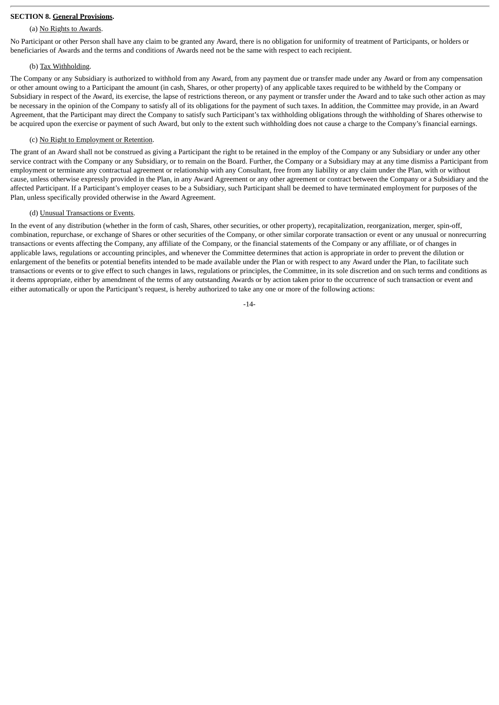# **SECTION 8. General Provisions.**

# (a) No Rights to Awards.

No Participant or other Person shall have any claim to be granted any Award, there is no obligation for uniformity of treatment of Participants, or holders or beneficiaries of Awards and the terms and conditions of Awards need not be the same with respect to each recipient.

#### (b) Tax Withholding.

The Company or any Subsidiary is authorized to withhold from any Award, from any payment due or transfer made under any Award or from any compensation or other amount owing to a Participant the amount (in cash, Shares, or other property) of any applicable taxes required to be withheld by the Company or Subsidiary in respect of the Award, its exercise, the lapse of restrictions thereon, or any payment or transfer under the Award and to take such other action as may be necessary in the opinion of the Company to satisfy all of its obligations for the payment of such taxes. In addition, the Committee may provide, in an Award Agreement, that the Participant may direct the Company to satisfy such Participant's tax withholding obligations through the withholding of Shares otherwise to be acquired upon the exercise or payment of such Award, but only to the extent such withholding does not cause a charge to the Company's financial earnings.

#### (c) No Right to Employment or Retention.

The grant of an Award shall not be construed as giving a Participant the right to be retained in the employ of the Company or any Subsidiary or under any other service contract with the Company or any Subsidiary, or to remain on the Board. Further, the Company or a Subsidiary may at any time dismiss a Participant from employment or terminate any contractual agreement or relationship with any Consultant, free from any liability or any claim under the Plan, with or without cause, unless otherwise expressly provided in the Plan, in any Award Agreement or any other agreement or contract between the Company or a Subsidiary and the affected Participant. If a Participant's employer ceases to be a Subsidiary, such Participant shall be deemed to have terminated employment for purposes of the Plan, unless specifically provided otherwise in the Award Agreement.

#### (d) Unusual Transactions or Events.

In the event of any distribution (whether in the form of cash, Shares, other securities, or other property), recapitalization, reorganization, merger, spin-off, combination, repurchase, or exchange of Shares or other securities of the Company, or other similar corporate transaction or event or any unusual or nonrecurring transactions or events affecting the Company, any affiliate of the Company, or the financial statements of the Company or any affiliate, or of changes in applicable laws, regulations or accounting principles, and whenever the Committee determines that action is appropriate in order to prevent the dilution or enlargement of the benefits or potential benefits intended to be made available under the Plan or with respect to any Award under the Plan, to facilitate such transactions or events or to give effect to such changes in laws, regulations or principles, the Committee, in its sole discretion and on such terms and conditions as it deems appropriate, either by amendment of the terms of any outstanding Awards or by action taken prior to the occurrence of such transaction or event and either automatically or upon the Participant's request, is hereby authorized to take any one or more of the following actions:

-14-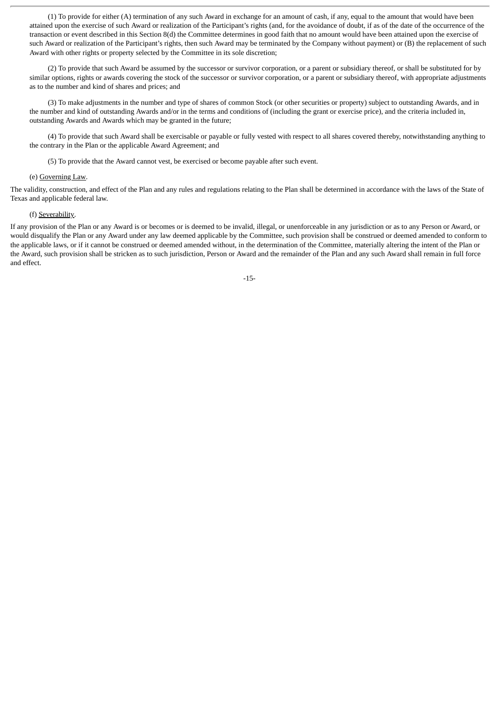(1) To provide for either (A) termination of any such Award in exchange for an amount of cash, if any, equal to the amount that would have been attained upon the exercise of such Award or realization of the Participant's rights (and, for the avoidance of doubt, if as of the date of the occurrence of the transaction or event described in this Section 8(d) the Committee determines in good faith that no amount would have been attained upon the exercise of such Award or realization of the Participant's rights, then such Award may be terminated by the Company without payment) or (B) the replacement of such Award with other rights or property selected by the Committee in its sole discretion;

(2) To provide that such Award be assumed by the successor or survivor corporation, or a parent or subsidiary thereof, or shall be substituted for by similar options, rights or awards covering the stock of the successor or survivor corporation, or a parent or subsidiary thereof, with appropriate adjustments as to the number and kind of shares and prices; and

(3) To make adjustments in the number and type of shares of common Stock (or other securities or property) subject to outstanding Awards, and in the number and kind of outstanding Awards and/or in the terms and conditions of (including the grant or exercise price), and the criteria included in, outstanding Awards and Awards which may be granted in the future;

(4) To provide that such Award shall be exercisable or payable or fully vested with respect to all shares covered thereby, notwithstanding anything to the contrary in the Plan or the applicable Award Agreement; and

(5) To provide that the Award cannot vest, be exercised or become payable after such event.

#### (e) Governing Law.

The validity, construction, and effect of the Plan and any rules and regulations relating to the Plan shall be determined in accordance with the laws of the State of Texas and applicable federal law.

# (f) Severability.

If any provision of the Plan or any Award is or becomes or is deemed to be invalid, illegal, or unenforceable in any jurisdiction or as to any Person or Award, or would disqualify the Plan or any Award under any law deemed applicable by the Committee, such provision shall be construed or deemed amended to conform to the applicable laws, or if it cannot be construed or deemed amended without, in the determination of the Committee, materially altering the intent of the Plan or the Award, such provision shall be stricken as to such jurisdiction, Person or Award and the remainder of the Plan and any such Award shall remain in full force and effect.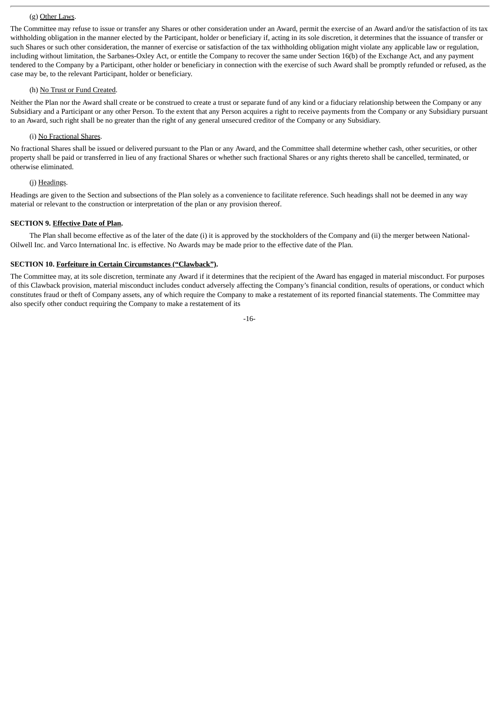#### (g) Other Laws.

The Committee may refuse to issue or transfer any Shares or other consideration under an Award, permit the exercise of an Award and/or the satisfaction of its tax withholding obligation in the manner elected by the Participant, holder or beneficiary if, acting in its sole discretion, it determines that the issuance of transfer or such Shares or such other consideration, the manner of exercise or satisfaction of the tax withholding obligation might violate any applicable law or regulation, including without limitation, the Sarbanes-Oxley Act, or entitle the Company to recover the same under Section 16(b) of the Exchange Act, and any payment tendered to the Company by a Participant, other holder or beneficiary in connection with the exercise of such Award shall be promptly refunded or refused, as the case may be, to the relevant Participant, holder or beneficiary.

#### (h) No Trust or Fund Created.

Neither the Plan nor the Award shall create or be construed to create a trust or separate fund of any kind or a fiduciary relationship between the Company or any Subsidiary and a Participant or any other Person. To the extent that any Person acquires a right to receive payments from the Company or any Subsidiary pursuant to an Award, such right shall be no greater than the right of any general unsecured creditor of the Company or any Subsidiary.

# (i) No Fractional Shares.

No fractional Shares shall be issued or delivered pursuant to the Plan or any Award, and the Committee shall determine whether cash, other securities, or other property shall be paid or transferred in lieu of any fractional Shares or whether such fractional Shares or any rights thereto shall be cancelled, terminated, or otherwise eliminated.

#### (j) Headings.

Headings are given to the Section and subsections of the Plan solely as a convenience to facilitate reference. Such headings shall not be deemed in any way material or relevant to the construction or interpretation of the plan or any provision thereof.

# **SECTION 9. Effective Date of Plan.**

The Plan shall become effective as of the later of the date (i) it is approved by the stockholders of the Company and (ii) the merger between National-Oilwell Inc. and Varco International Inc. is effective. No Awards may be made prior to the effective date of the Plan.

## **SECTION 10. Forfeiture in Certain Circumstances ("Clawback").**

The Committee may, at its sole discretion, terminate any Award if it determines that the recipient of the Award has engaged in material misconduct. For purposes of this Clawback provision, material misconduct includes conduct adversely affecting the Company's financial condition, results of operations, or conduct which constitutes fraud or theft of Company assets, any of which require the Company to make a restatement of its reported financial statements. The Committee may also specify other conduct requiring the Company to make a restatement of its

-16-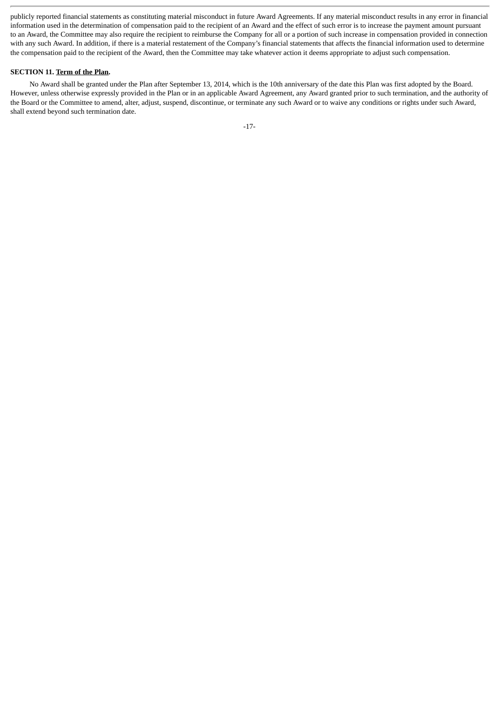publicly reported financial statements as constituting material misconduct in future Award Agreements. If any material misconduct results in any error in financial information used in the determination of compensation paid to the recipient of an Award and the effect of such error is to increase the payment amount pursuant to an Award, the Committee may also require the recipient to reimburse the Company for all or a portion of such increase in compensation provided in connection with any such Award. In addition, if there is a material restatement of the Company's financial statements that affects the financial information used to determine the compensation paid to the recipient of the Award, then the Committee may take whatever action it deems appropriate to adjust such compensation.

# **SECTION 11. Term of the Plan.**

No Award shall be granted under the Plan after September 13, 2014, which is the 10th anniversary of the date this Plan was first adopted by the Board. However, unless otherwise expressly provided in the Plan or in an applicable Award Agreement, any Award granted prior to such termination, and the authority of the Board or the Committee to amend, alter, adjust, suspend, discontinue, or terminate any such Award or to waive any conditions or rights under such Award, shall extend beyond such termination date.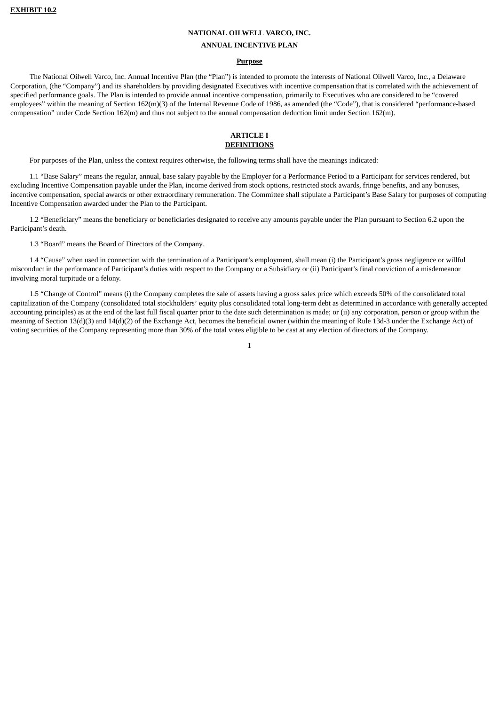#### **NATIONAL OILWELL VARCO, INC.**

#### **ANNUAL INCENTIVE PLAN**

#### **Purpose**

The National Oilwell Varco, Inc. Annual Incentive Plan (the "Plan") is intended to promote the interests of National Oilwell Varco, Inc., a Delaware Corporation, (the "Company") and its shareholders by providing designated Executives with incentive compensation that is correlated with the achievement of specified performance goals. The Plan is intended to provide annual incentive compensation, primarily to Executives who are considered to be "covered employees" within the meaning of Section 162(m)(3) of the Internal Revenue Code of 1986, as amended (the "Code"), that is considered "performance-based compensation" under Code Section 162(m) and thus not subject to the annual compensation deduction limit under Section 162(m).

## **ARTICLE I DEFINITIONS**

For purposes of the Plan, unless the context requires otherwise, the following terms shall have the meanings indicated:

1.1 "Base Salary" means the regular, annual, base salary payable by the Employer for a Performance Period to a Participant for services rendered, but excluding Incentive Compensation payable under the Plan, income derived from stock options, restricted stock awards, fringe benefits, and any bonuses, incentive compensation, special awards or other extraordinary remuneration. The Committee shall stipulate a Participant's Base Salary for purposes of computing Incentive Compensation awarded under the Plan to the Participant.

1.2 "Beneficiary" means the beneficiary or beneficiaries designated to receive any amounts payable under the Plan pursuant to Section 6.2 upon the Participant's death.

1.3 "Board" means the Board of Directors of the Company.

1.4 "Cause" when used in connection with the termination of a Participant's employment, shall mean (i) the Participant's gross negligence or willful misconduct in the performance of Participant's duties with respect to the Company or a Subsidiary or (ii) Participant's final conviction of a misdemeanor involving moral turpitude or a felony.

1.5 "Change of Control" means (i) the Company completes the sale of assets having a gross sales price which exceeds 50% of the consolidated total capitalization of the Company (consolidated total stockholders' equity plus consolidated total long-term debt as determined in accordance with generally accepted accounting principles) as at the end of the last full fiscal quarter prior to the date such determination is made; or (ii) any corporation, person or group within the meaning of Section 13(d)(3) and 14(d)(2) of the Exchange Act, becomes the beneficial owner (within the meaning of Rule 13d-3 under the Exchange Act) of voting securities of the Company representing more than 30% of the total votes eligible to be cast at any election of directors of the Company.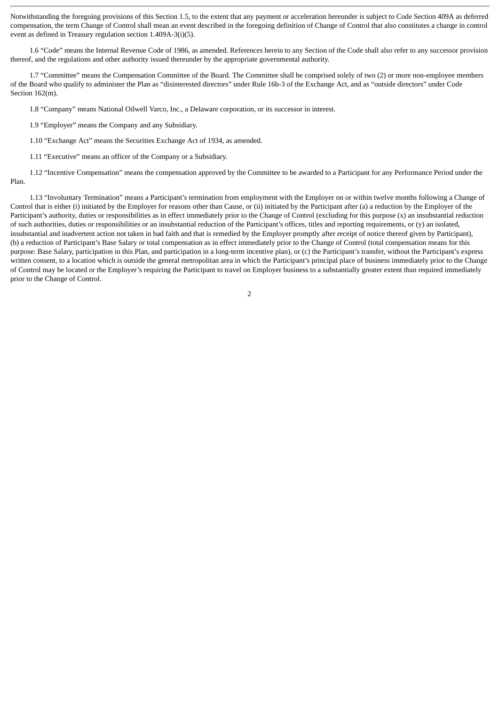Notwithstanding the foregoing provisions of this Section 1.5, to the extent that any payment or acceleration hereunder is subject to Code Section 409A as deferred compensation, the term Change of Control shall mean an event described in the foregoing definition of Change of Control that also constitutes a change in control event as defined in Treasury regulation section 1.409A-3(i)(5).

1.6 "Code" means the Internal Revenue Code of 1986, as amended. References herein to any Section of the Code shall also refer to any successor provision thereof, and the regulations and other authority issued thereunder by the appropriate governmental authority.

1.7 "Committee" means the Compensation Committee of the Board. The Committee shall be comprised solely of two (2) or more non-employee members of the Board who qualify to administer the Plan as "disinterested directors" under Rule 16b-3 of the Exchange Act, and as "outside directors" under Code Section 162(m).

1.8 "Company" means National Oilwell Varco, Inc., a Delaware corporation, or its successor in interest.

1.9 "Employer" means the Company and any Subsidiary.

1.10 "Exchange Act" means the Securities Exchange Act of 1934, as amended.

1.11 "Executive" means an officer of the Company or a Subsidiary.

1.12 "Incentive Compensation" means the compensation approved by the Committee to be awarded to a Participant for any Performance Period under the Plan.

1.13 "Involuntary Termination" means a Participant's termination from employment with the Employer on or within twelve months following a Change of Control that is either (i) initiated by the Employer for reasons other than Cause, or (ii) initiated by the Participant after (a) a reduction by the Employer of the Participant's authority, duties or responsibilities as in effect immediately prior to the Change of Control (excluding for this purpose (x) an insubstantial reduction of such authorities, duties or responsibilities or an insubstantial reduction of the Participant's offices, titles and reporting requirements, or (y) an isolated, insubstantial and inadvertent action not taken in bad faith and that is remedied by the Employer promptly after receipt of notice thereof given by Participant), (b) a reduction of Participant's Base Salary or total compensation as in effect immediately prior to the Change of Control (total compensation means for this purpose: Base Salary, participation in this Plan, and participation in a long-term incentive plan), or (c) the Participant's transfer, without the Participant's express written consent, to a location which is outside the general metropolitan area in which the Participant's principal place of business immediately prior to the Change of Control may be located or the Employer's requiring the Participant to travel on Employer business to a substantially greater extent than required immediately prior to the Change of Control.

 $\overline{2}$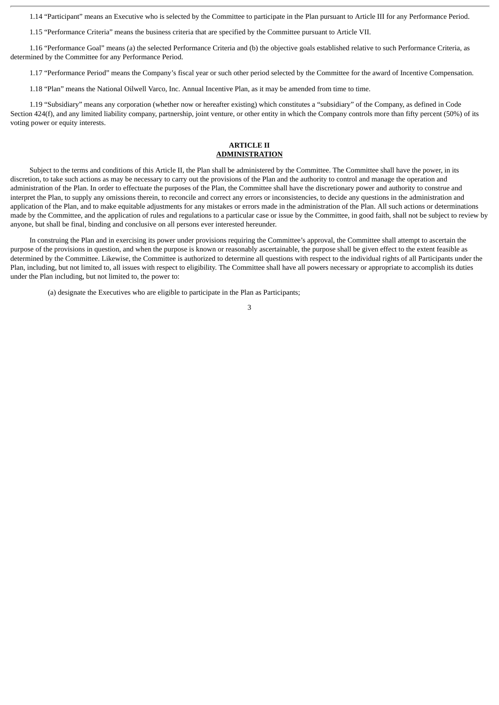1.14 "Participant" means an Executive who is selected by the Committee to participate in the Plan pursuant to Article III for any Performance Period.

1.15 "Performance Criteria" means the business criteria that are specified by the Committee pursuant to Article VII.

1.16 "Performance Goal" means (a) the selected Performance Criteria and (b) the objective goals established relative to such Performance Criteria, as determined by the Committee for any Performance Period.

1.17 "Performance Period" means the Company's fiscal year or such other period selected by the Committee for the award of Incentive Compensation.

1.18 "Plan" means the National Oilwell Varco, Inc. Annual Incentive Plan, as it may be amended from time to time.

1.19 "Subsidiary" means any corporation (whether now or hereafter existing) which constitutes a "subsidiary" of the Company, as defined in Code Section 424(f), and any limited liability company, partnership, joint venture, or other entity in which the Company controls more than fifty percent (50%) of its voting power or equity interests.

# **ARTICLE II ADMINISTRATION**

Subject to the terms and conditions of this Article II, the Plan shall be administered by the Committee. The Committee shall have the power, in its discretion, to take such actions as may be necessary to carry out the provisions of the Plan and the authority to control and manage the operation and administration of the Plan. In order to effectuate the purposes of the Plan, the Committee shall have the discretionary power and authority to construe and interpret the Plan, to supply any omissions therein, to reconcile and correct any errors or inconsistencies, to decide any questions in the administration and application of the Plan, and to make equitable adjustments for any mistakes or errors made in the administration of the Plan. All such actions or determinations made by the Committee, and the application of rules and regulations to a particular case or issue by the Committee, in good faith, shall not be subject to review by anyone, but shall be final, binding and conclusive on all persons ever interested hereunder.

In construing the Plan and in exercising its power under provisions requiring the Committee's approval, the Committee shall attempt to ascertain the purpose of the provisions in question, and when the purpose is known or reasonably ascertainable, the purpose shall be given effect to the extent feasible as determined by the Committee. Likewise, the Committee is authorized to determine all questions with respect to the individual rights of all Participants under the Plan, including, but not limited to, all issues with respect to eligibility. The Committee shall have all powers necessary or appropriate to accomplish its duties under the Plan including, but not limited to, the power to:

(a) designate the Executives who are eligible to participate in the Plan as Participants;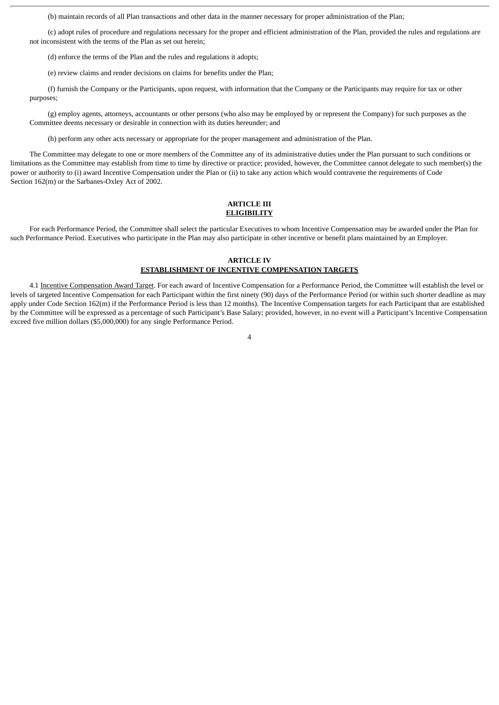(b) maintain records of all Plan transactions and other data in the manner necessary for proper administration of the Plan;

(c) adopt rules of procedure and regulations necessary for the proper and efficient administration of the Plan, provided the rules and regulations are not inconsistent with the terms of the Plan as set out herein;

(d) enforce the terms of the Plan and the rules and regulations it adopts;

(e) review claims and render decisions on claims for benefits under the Plan;

(f) furnish the Company or the Participants, upon request, with information that the Company or the Participants may require for tax or other purposes;

(g) employ agents, attorneys, accountants or other persons (who also may be employed by or represent the Company) for such purposes as the Committee deems necessary or desirable in connection with its duties hereunder; and

(h) perform any other acts necessary or appropriate for the proper management and administration of the Plan.

The Committee may delegate to one or more members of the Committee any of its administrative duties under the Plan pursuant to such conditions or limitations as the Committee may establish from time to time by directive or practice; provided, however, the Committee cannot delegate to such member(s) the power or authority to (i) award Incentive Compensation under the Plan or (ii) to take any action which would contravene the requirements of Code Section 162(m) or the Sarbanes-Oxley Act of 2002.

#### **ARTICLE III ELIGIBILITY**

For each Performance Period, the Committee shall select the particular Executives to whom Incentive Compensation may be awarded under the Plan for such Performance Period. Executives who participate in the Plan may also participate in other incentive or benefit plans maintained by an Employer.

# **ARTICLE IV**

# **ESTABLISHMENT OF INCENTIVE COMPENSATION TARGETS**

4.1 Incentive Compensation Award Target. For each award of Incentive Compensation for a Performance Period, the Committee will establish the level or levels of targeted Incentive Compensation for each Participant within the first ninety (90) days of the Performance Period (or within such shorter deadline as may apply under Code Section 162(m) if the Performance Period is less than 12 months). The Incentive Compensation targets for each Participant that are established by the Committee will be expressed as a percentage of such Participant's Base Salary; provided, however, in no event will a Participant's Incentive Compensation exceed five million dollars (\$5,000,000) for any single Performance Period.

#### $\lambda$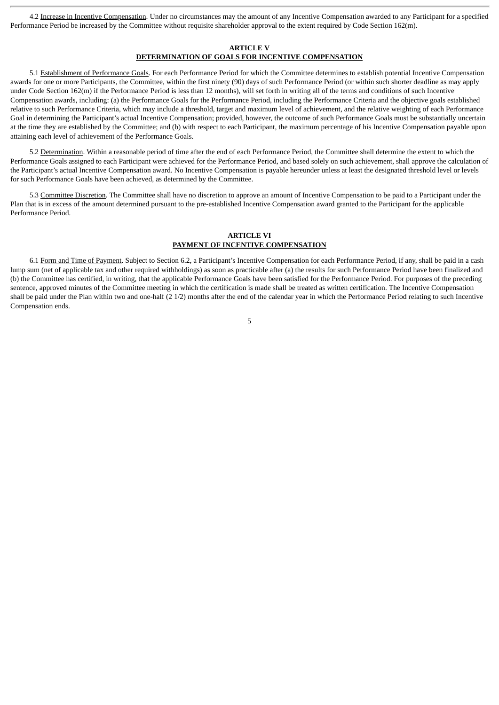4.2 Increase in Incentive Compensation. Under no circumstances may the amount of any Incentive Compensation awarded to any Participant for a specified Performance Period be increased by the Committee without requisite shareholder approval to the extent required by Code Section 162(m).

# **ARTICLE V DETERMINATION OF GOALS FOR INCENTIVE COMPENSATION**

5.1 Establishment of Performance Goals. For each Performance Period for which the Committee determines to establish potential Incentive Compensation awards for one or more Participants, the Committee, within the first ninety (90) days of such Performance Period (or within such shorter deadline as may apply under Code Section 162(m) if the Performance Period is less than 12 months), will set forth in writing all of the terms and conditions of such Incentive Compensation awards, including: (a) the Performance Goals for the Performance Period, including the Performance Criteria and the objective goals established relative to such Performance Criteria, which may include a threshold, target and maximum level of achievement, and the relative weighting of each Performance Goal in determining the Participant's actual Incentive Compensation; provided, however, the outcome of such Performance Goals must be substantially uncertain at the time they are established by the Committee; and (b) with respect to each Participant, the maximum percentage of his Incentive Compensation payable upon attaining each level of achievement of the Performance Goals.

5.2 Determination. Within a reasonable period of time after the end of each Performance Period, the Committee shall determine the extent to which the Performance Goals assigned to each Participant were achieved for the Performance Period, and based solely on such achievement, shall approve the calculation of the Participant's actual Incentive Compensation award. No Incentive Compensation is payable hereunder unless at least the designated threshold level or levels for such Performance Goals have been achieved, as determined by the Committee.

5.3 Committee Discretion. The Committee shall have no discretion to approve an amount of Incentive Compensation to be paid to a Participant under the Plan that is in excess of the amount determined pursuant to the pre-established Incentive Compensation award granted to the Participant for the applicable Performance Period.

# **ARTICLE VI PAYMENT OF INCENTIVE COMPENSATION**

6.1 Form and Time of Payment. Subject to Section 6.2, a Participant's Incentive Compensation for each Performance Period, if any, shall be paid in a cash lump sum (net of applicable tax and other required withholdings) as soon as practicable after (a) the results for such Performance Period have been finalized and (b) the Committee has certified, in writing, that the applicable Performance Goals have been satisfied for the Performance Period. For purposes of the preceding sentence, approved minutes of the Committee meeting in which the certification is made shall be treated as written certification. The Incentive Compensation shall be paid under the Plan within two and one-half (2 1/2) months after the end of the calendar year in which the Performance Period relating to such Incentive Compensation ends.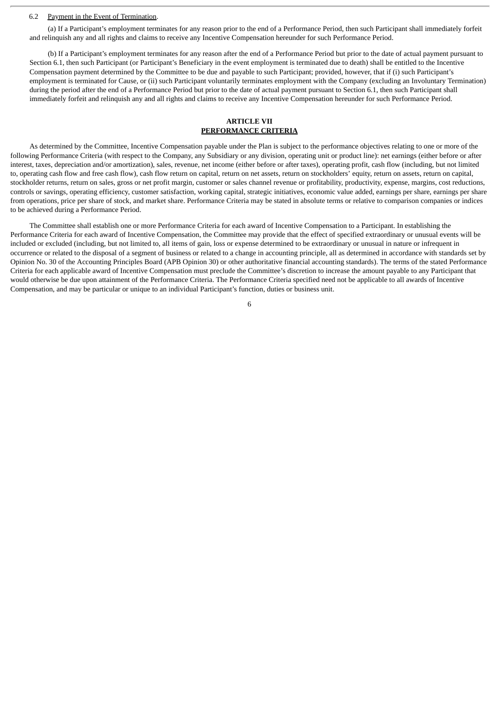#### 6.2 Payment in the Event of Termination.

(a) If a Participant's employment terminates for any reason prior to the end of a Performance Period, then such Participant shall immediately forfeit and relinquish any and all rights and claims to receive any Incentive Compensation hereunder for such Performance Period.

(b) If a Participant's employment terminates for any reason after the end of a Performance Period but prior to the date of actual payment pursuant to Section 6.1, then such Participant (or Participant's Beneficiary in the event employment is terminated due to death) shall be entitled to the Incentive Compensation payment determined by the Committee to be due and payable to such Participant; provided, however, that if (i) such Participant's employment is terminated for Cause, or (ii) such Participant voluntarily terminates employment with the Company (excluding an Involuntary Termination) during the period after the end of a Performance Period but prior to the date of actual payment pursuant to Section 6.1, then such Participant shall immediately forfeit and relinquish any and all rights and claims to receive any Incentive Compensation hereunder for such Performance Period.

## **ARTICLE VII PERFORMANCE CRITERIA**

As determined by the Committee, Incentive Compensation payable under the Plan is subject to the performance objectives relating to one or more of the following Performance Criteria (with respect to the Company, any Subsidiary or any division, operating unit or product line): net earnings (either before or after interest, taxes, depreciation and/or amortization), sales, revenue, net income (either before or after taxes), operating profit, cash flow (including, but not limited to, operating cash flow and free cash flow), cash flow return on capital, return on net assets, return on stockholders' equity, return on assets, return on capital, stockholder returns, return on sales, gross or net profit margin, customer or sales channel revenue or profitability, productivity, expense, margins, cost reductions, controls or savings, operating efficiency, customer satisfaction, working capital, strategic initiatives, economic value added, earnings per share, earnings per share from operations, price per share of stock, and market share. Performance Criteria may be stated in absolute terms or relative to comparison companies or indices to be achieved during a Performance Period.

The Committee shall establish one or more Performance Criteria for each award of Incentive Compensation to a Participant. In establishing the Performance Criteria for each award of Incentive Compensation, the Committee may provide that the effect of specified extraordinary or unusual events will be included or excluded (including, but not limited to, all items of gain, loss or expense determined to be extraordinary or unusual in nature or infrequent in occurrence or related to the disposal of a segment of business or related to a change in accounting principle, all as determined in accordance with standards set by Opinion No. 30 of the Accounting Principles Board (APB Opinion 30) or other authoritative financial accounting standards). The terms of the stated Performance Criteria for each applicable award of Incentive Compensation must preclude the Committee's discretion to increase the amount payable to any Participant that would otherwise be due upon attainment of the Performance Criteria. The Performance Criteria specified need not be applicable to all awards of Incentive Compensation, and may be particular or unique to an individual Participant's function, duties or business unit.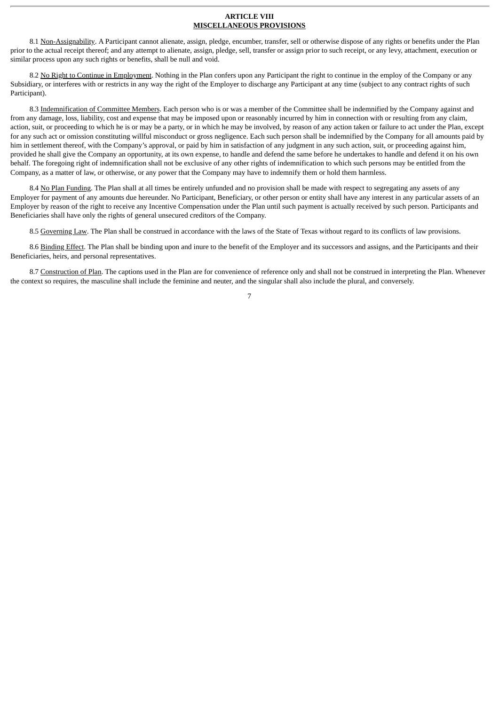#### **ARTICLE VIII MISCELLANEOUS PROVISIONS**

8.1 Non-Assignability. A Participant cannot alienate, assign, pledge, encumber, transfer, sell or otherwise dispose of any rights or benefits under the Plan prior to the actual receipt thereof; and any attempt to alienate, assign, pledge, sell, transfer or assign prior to such receipt, or any levy, attachment, execution or similar process upon any such rights or benefits, shall be null and void.

8.2 No Right to Continue in Employment. Nothing in the Plan confers upon any Participant the right to continue in the employ of the Company or any Subsidiary, or interferes with or restricts in any way the right of the Employer to discharge any Participant at any time (subject to any contract rights of such Participant).

8.3 Indemnification of Committee Members. Each person who is or was a member of the Committee shall be indemnified by the Company against and from any damage, loss, liability, cost and expense that may be imposed upon or reasonably incurred by him in connection with or resulting from any claim, action, suit, or proceeding to which he is or may be a party, or in which he may be involved, by reason of any action taken or failure to act under the Plan, except for any such act or omission constituting willful misconduct or gross negligence. Each such person shall be indemnified by the Company for all amounts paid by him in settlement thereof, with the Company's approval, or paid by him in satisfaction of any judgment in any such action, suit, or proceeding against him, provided he shall give the Company an opportunity, at its own expense, to handle and defend the same before he undertakes to handle and defend it on his own behalf. The foregoing right of indemnification shall not be exclusive of any other rights of indemnification to which such persons may be entitled from the Company, as a matter of law, or otherwise, or any power that the Company may have to indemnify them or hold them harmless.

8.4 No Plan Funding. The Plan shall at all times be entirely unfunded and no provision shall be made with respect to segregating any assets of any Employer for payment of any amounts due hereunder. No Participant, Beneficiary, or other person or entity shall have any interest in any particular assets of an Employer by reason of the right to receive any Incentive Compensation under the Plan until such payment is actually received by such person. Participants and Beneficiaries shall have only the rights of general unsecured creditors of the Company.

8.5 Governing Law. The Plan shall be construed in accordance with the laws of the State of Texas without regard to its conflicts of law provisions.

8.6 Binding Effect. The Plan shall be binding upon and inure to the benefit of the Employer and its successors and assigns, and the Participants and their Beneficiaries, heirs, and personal representatives.

8.7 Construction of Plan. The captions used in the Plan are for convenience of reference only and shall not be construed in interpreting the Plan. Whenever the context so requires, the masculine shall include the feminine and neuter, and the singular shall also include the plural, and conversely.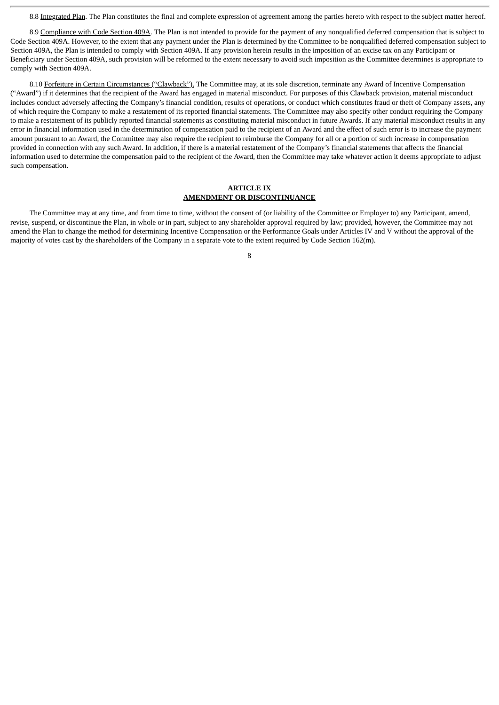8.8 Integrated Plan. The Plan constitutes the final and complete expression of agreement among the parties hereto with respect to the subject matter hereof.

8.9 Compliance with Code Section 409A. The Plan is not intended to provide for the payment of any nonqualified deferred compensation that is subject to Code Section 409A. However, to the extent that any payment under the Plan is determined by the Committee to be nonqualified deferred compensation subject to Section 409A, the Plan is intended to comply with Section 409A. If any provision herein results in the imposition of an excise tax on any Participant or Beneficiary under Section 409A, such provision will be reformed to the extent necessary to avoid such imposition as the Committee determines is appropriate to comply with Section 409A.

8.10 Forfeiture in Certain Circumstances ("Clawback"). The Committee may, at its sole discretion, terminate any Award of Incentive Compensation ("Award") if it determines that the recipient of the Award has engaged in material misconduct. For purposes of this Clawback provision, material misconduct includes conduct adversely affecting the Company's financial condition, results of operations, or conduct which constitutes fraud or theft of Company assets, any of which require the Company to make a restatement of its reported financial statements. The Committee may also specify other conduct requiring the Company to make a restatement of its publicly reported financial statements as constituting material misconduct in future Awards. If any material misconduct results in any error in financial information used in the determination of compensation paid to the recipient of an Award and the effect of such error is to increase the payment amount pursuant to an Award, the Committee may also require the recipient to reimburse the Company for all or a portion of such increase in compensation provided in connection with any such Award. In addition, if there is a material restatement of the Company's financial statements that affects the financial information used to determine the compensation paid to the recipient of the Award, then the Committee may take whatever action it deems appropriate to adjust such compensation.

# **ARTICLE IX AMENDMENT OR DISCONTINUANCE**

The Committee may at any time, and from time to time, without the consent of (or liability of the Committee or Employer to) any Participant, amend, revise, suspend, or discontinue the Plan, in whole or in part, subject to any shareholder approval required by law; provided, however, the Committee may not amend the Plan to change the method for determining Incentive Compensation or the Performance Goals under Articles IV and V without the approval of the majority of votes cast by the shareholders of the Company in a separate vote to the extent required by Code Section 162(m).